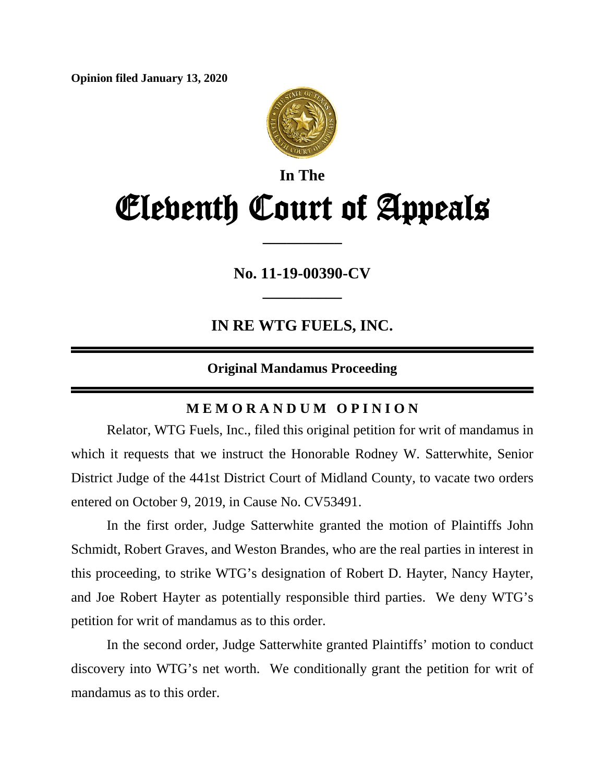**Opinion filed January 13, 2020**



# **In The** Eleventh Court of Appeals

**No. 11-19-00390-CV**

**\_\_\_\_\_\_\_\_\_\_**

**\_\_\_\_\_\_\_\_\_\_**

**IN RE WTG FUELS, INC.**

### **Original Mandamus Proceeding**

## **M E M O R A N D U M O P I N I O N**

Relator, WTG Fuels, Inc., filed this original petition for writ of mandamus in which it requests that we instruct the Honorable Rodney W. Satterwhite, Senior District Judge of the 441st District Court of Midland County, to vacate two orders entered on October 9, 2019, in Cause No. CV53491.

In the first order, Judge Satterwhite granted the motion of Plaintiffs John Schmidt, Robert Graves, and Weston Brandes, who are the real parties in interest in this proceeding, to strike WTG's designation of Robert D. Hayter, Nancy Hayter, and Joe Robert Hayter as potentially responsible third parties. We deny WTG's petition for writ of mandamus as to this order.

In the second order, Judge Satterwhite granted Plaintiffs' motion to conduct discovery into WTG's net worth. We conditionally grant the petition for writ of mandamus as to this order.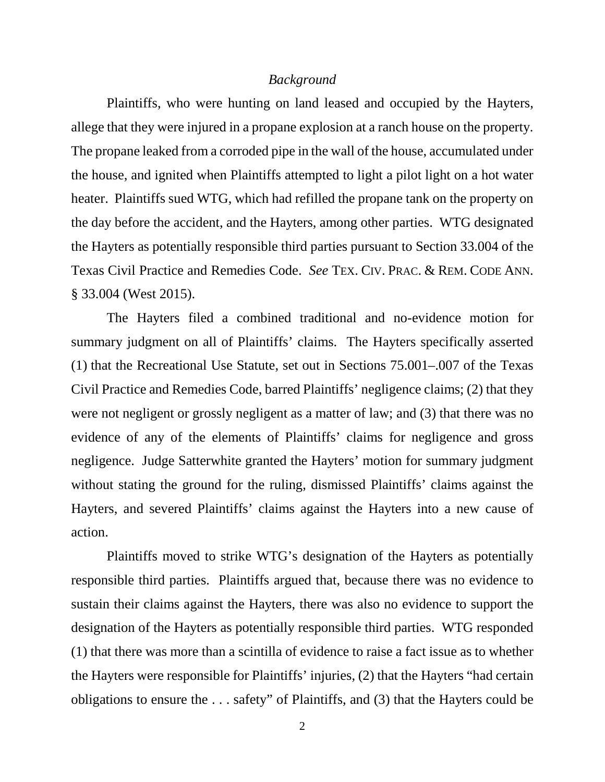#### *Background*

Plaintiffs, who were hunting on land leased and occupied by the Hayters, allege that they were injured in a propane explosion at a ranch house on the property. The propane leaked from a corroded pipe in the wall of the house, accumulated under the house, and ignited when Plaintiffs attempted to light a pilot light on a hot water heater. Plaintiffs sued WTG, which had refilled the propane tank on the property on the day before the accident, and the Hayters, among other parties. WTG designated the Hayters as potentially responsible third parties pursuant to Section 33.004 of the Texas Civil Practice and Remedies Code. *See* TEX. CIV. PRAC. & REM. CODE ANN. § 33.004 (West 2015).

The Hayters filed a combined traditional and no-evidence motion for summary judgment on all of Plaintiffs' claims. The Hayters specifically asserted (1) that the Recreational Use Statute, set out in Sections 75.001–.007 of the Texas Civil Practice and Remedies Code, barred Plaintiffs' negligence claims; (2) that they were not negligent or grossly negligent as a matter of law; and (3) that there was no evidence of any of the elements of Plaintiffs' claims for negligence and gross negligence. Judge Satterwhite granted the Hayters' motion for summary judgment without stating the ground for the ruling, dismissed Plaintiffs' claims against the Hayters, and severed Plaintiffs' claims against the Hayters into a new cause of action.

Plaintiffs moved to strike WTG's designation of the Hayters as potentially responsible third parties. Plaintiffs argued that, because there was no evidence to sustain their claims against the Hayters, there was also no evidence to support the designation of the Hayters as potentially responsible third parties. WTG responded (1) that there was more than a scintilla of evidence to raise a fact issue as to whether the Hayters were responsible for Plaintiffs' injuries, (2) that the Hayters "had certain obligations to ensure the . . . safety" of Plaintiffs, and (3) that the Hayters could be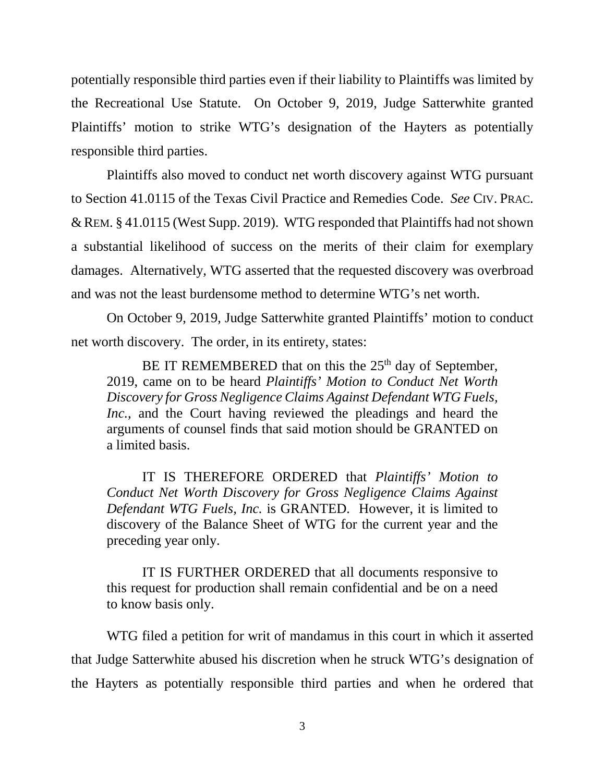potentially responsible third parties even if their liability to Plaintiffs was limited by the Recreational Use Statute. On October 9, 2019, Judge Satterwhite granted Plaintiffs' motion to strike WTG's designation of the Hayters as potentially responsible third parties.

Plaintiffs also moved to conduct net worth discovery against WTG pursuant to Section 41.0115 of the Texas Civil Practice and Remedies Code. *See* CIV. PRAC.  $&$  REM.  $&$  41.0115 (West Supp. 2019). WTG responded that Plaintiffs had not shown a substantial likelihood of success on the merits of their claim for exemplary damages. Alternatively, WTG asserted that the requested discovery was overbroad and was not the least burdensome method to determine WTG's net worth.

On October 9, 2019, Judge Satterwhite granted Plaintiffs' motion to conduct net worth discovery. The order, in its entirety, states:

BE IT REMEMBERED that on this the  $25<sup>th</sup>$  day of September, 2019, came on to be heard *Plaintiffs' Motion to Conduct Net Worth Discovery for Gross Negligence Claims Against Defendant WTG Fuels, Inc.,* and the Court having reviewed the pleadings and heard the arguments of counsel finds that said motion should be GRANTED on a limited basis.

IT IS THEREFORE ORDERED that *Plaintiffs' Motion to Conduct Net Worth Discovery for Gross Negligence Claims Against Defendant WTG Fuels, Inc.* is GRANTED. However, it is limited to discovery of the Balance Sheet of WTG for the current year and the preceding year only.

IT IS FURTHER ORDERED that all documents responsive to this request for production shall remain confidential and be on a need to know basis only.

WTG filed a petition for writ of mandamus in this court in which it asserted that Judge Satterwhite abused his discretion when he struck WTG's designation of the Hayters as potentially responsible third parties and when he ordered that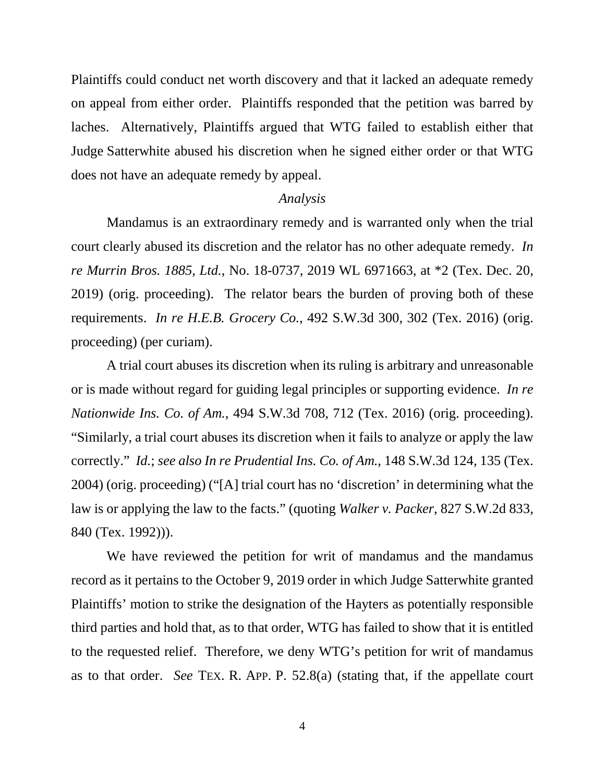Plaintiffs could conduct net worth discovery and that it lacked an adequate remedy on appeal from either order. Plaintiffs responded that the petition was barred by laches. Alternatively, Plaintiffs argued that WTG failed to establish either that Judge Satterwhite abused his discretion when he signed either order or that WTG does not have an adequate remedy by appeal.

#### *Analysis*

Mandamus is an extraordinary remedy and is warranted only when the trial court clearly abused its discretion and the relator has no other adequate remedy. *In re Murrin Bros. 1885, Ltd.*, No. 18-0737, 2019 WL 6971663, at \*2 (Tex. Dec. 20, 2019) (orig. proceeding). The relator bears the burden of proving both of these requirements. *In re H.E.B. Grocery Co.*, 492 S.W.3d 300, 302 (Tex. 2016) (orig. proceeding) (per curiam).

A trial court abuses its discretion when its ruling is arbitrary and unreasonable or is made without regard for guiding legal principles or supporting evidence. *In re Nationwide Ins. Co. of Am.*, 494 S.W.3d 708, 712 (Tex. 2016) (orig. proceeding). "Similarly, a trial court abuses its discretion when it fails to analyze or apply the law correctly." *Id.*; *see also In re Prudential Ins. Co. of Am.*, 148 S.W.3d 124, 135 (Tex. 2004) (orig. proceeding) ("[A] trial court has no 'discretion' in determining what the law is or applying the law to the facts." (quoting *Walker v. Packer*, 827 S.W.2d 833, 840 (Tex. 1992))).

We have reviewed the petition for writ of mandamus and the mandamus record as it pertains to the October 9, 2019 order in which Judge Satterwhite granted Plaintiffs' motion to strike the designation of the Hayters as potentially responsible third parties and hold that, as to that order, WTG has failed to show that it is entitled to the requested relief. Therefore, we deny WTG's petition for writ of mandamus as to that order. *See* TEX. R. APP. P. 52.8(a) (stating that, if the appellate court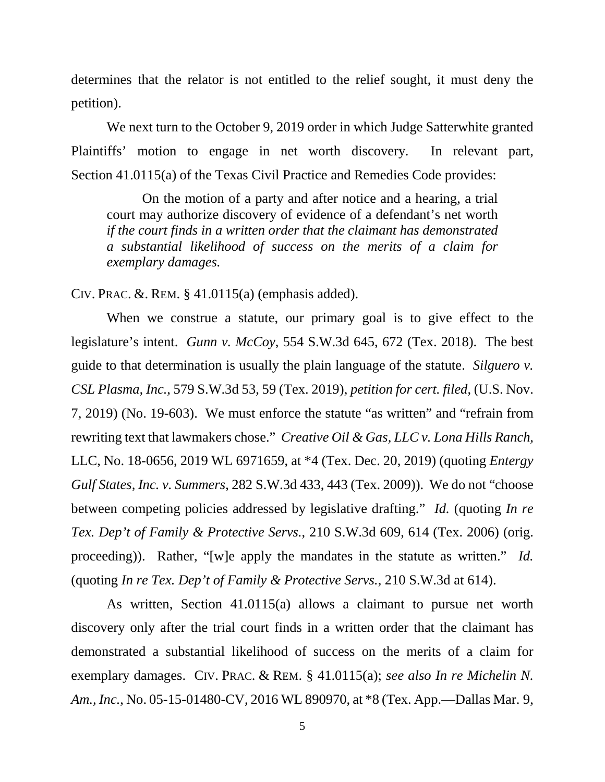determines that the relator is not entitled to the relief sought, it must deny the petition).

We next turn to the October 9, 2019 order in which Judge Satterwhite granted Plaintiffs' motion to engage in net worth discovery. In relevant part, Section 41.0115(a) of the Texas Civil Practice and Remedies Code provides:

On the motion of a party and after notice and a hearing, a trial court may authorize discovery of evidence of a defendant's net worth *if the court finds in a written order that the claimant has demonstrated a substantial likelihood of success on the merits of a claim for exemplary damages.*

CIV. PRAC. &. REM. § 41.0115(a) (emphasis added).

When we construe a statute, our primary goal is to give effect to the legislature's intent. *Gunn v. McCoy*, 554 S.W.3d 645, 672 (Tex. 2018). The best guide to that determination is usually the plain language of the statute. *Silguero v. CSL Plasma, Inc.*, 579 S.W.3d 53, 59 (Tex. 2019), *petition for cert. filed*, (U.S. Nov. 7, 2019) (No. 19-603). We must enforce the statute "as written" and "refrain from rewriting text that lawmakers chose." *Creative Oil & Gas, LLC v. Lona Hills Ranch,*  LLC, No. 18-0656, 2019 WL 6971659, at \*4 (Tex. Dec. 20, 2019) (quoting *Entergy Gulf States, Inc. v. Summers*, 282 S.W.3d 433, 443 (Tex. 2009)). We do not "choose between competing policies addressed by legislative drafting." *Id.* (quoting *In re Tex. Dep't of Family & Protective Servs.*, 210 S.W.3d 609, 614 (Tex. 2006) (orig. proceeding)). Rather, "[w]e apply the mandates in the statute as written." *Id.* (quoting *In re Tex. Dep't of Family & Protective Servs.*, 210 S.W.3d at 614).

As written, Section 41.0115(a) allows a claimant to pursue net worth discovery only after the trial court finds in a written order that the claimant has demonstrated a substantial likelihood of success on the merits of a claim for exemplary damages. CIV. PRAC. & REM. § 41.0115(a); *see also In re Michelin N. Am., Inc.*, No. 05-15-01480-CV, 2016 WL 890970, at \*8 (Tex. App.—Dallas Mar. 9,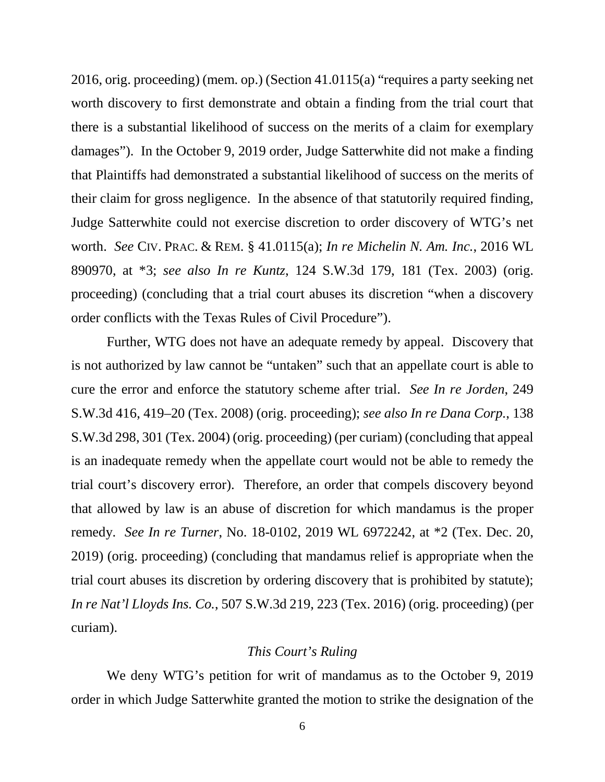2016, orig. proceeding) (mem. op.) (Section 41.0115(a) "requires a party seeking net worth discovery to first demonstrate and obtain a finding from the trial court that there is a substantial likelihood of success on the merits of a claim for exemplary damages"). In the October 9, 2019 order, Judge Satterwhite did not make a finding that Plaintiffs had demonstrated a substantial likelihood of success on the merits of their claim for gross negligence. In the absence of that statutorily required finding, Judge Satterwhite could not exercise discretion to order discovery of WTG's net worth. *See* CIV. PRAC. & REM. § 41.0115(a); *In re Michelin N. Am. Inc.*, 2016 WL 890970, at \*3; *see also In re Kuntz*, 124 S.W.3d 179, 181 (Tex. 2003) (orig. proceeding) (concluding that a trial court abuses its discretion "when a discovery order conflicts with the Texas Rules of Civil Procedure").

Further, WTG does not have an adequate remedy by appeal. Discovery that is not authorized by law cannot be "untaken" such that an appellate court is able to cure the error and enforce the statutory scheme after trial. *See In re Jorden*, 249 S.W.3d 416, 419–20 (Tex. 2008) (orig. proceeding); *see also In re Dana Corp.*, 138 S.W.3d 298, 301 (Tex. 2004) (orig. proceeding) (per curiam) (concluding that appeal is an inadequate remedy when the appellate court would not be able to remedy the trial court's discovery error). Therefore, an order that compels discovery beyond that allowed by law is an abuse of discretion for which mandamus is the proper remedy. *See In re Turner*, No. 18-0102, 2019 WL 6972242, at \*2 (Tex. Dec. 20, 2019) (orig. proceeding) (concluding that mandamus relief is appropriate when the trial court abuses its discretion by ordering discovery that is prohibited by statute); *In re Nat'l Lloyds Ins. Co.*, 507 S.W.3d 219, 223 (Tex. 2016) (orig. proceeding) (per curiam).

#### *This Court's Ruling*

We deny WTG's petition for writ of mandamus as to the October 9, 2019 order in which Judge Satterwhite granted the motion to strike the designation of the